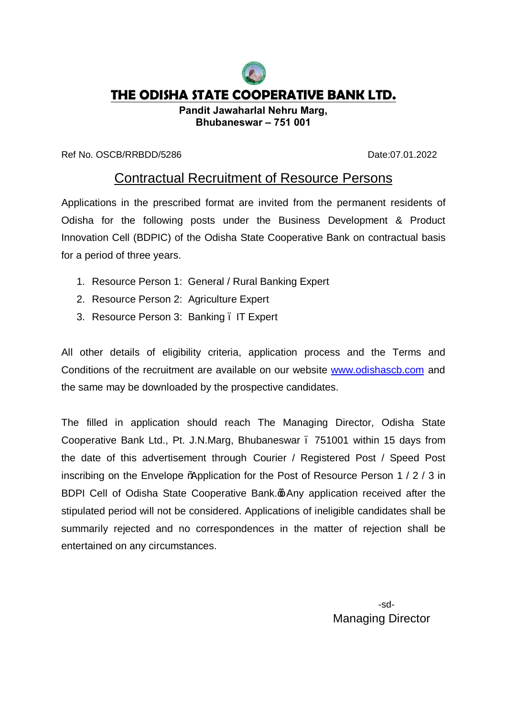

## **THE ODISHA STATE COOPERATIVE BANK LTD.**

**Pandit Jawaharlal Nehru Marg, Bhubaneswar – 751 001**

Ref No. OSCB/RRBDD/5286 Date:07.01.2022

## Contractual Recruitment of Resource Persons

Applications in the prescribed format are invited from the permanent residents of Odisha for the following posts under the Business Development & Product Innovation Cell (BDPIC) of the Odisha State Cooperative Bank on contractual basis for a period of three years.

- 1. Resource Person 1: General / Rural Banking Expert
- 2. Resource Person 2: Agriculture Expert
- 3. Resource Person 3: Banking . IT Expert

All other details of eligibility criteria, application process and the Terms and Conditions of the recruitment are available on our website [www.odishascb.com](http://www.odishascb.com/) and the same may be downloaded by the prospective candidates.

The filled in application should reach The Managing Director, Odisha State Cooperative Bank Ltd., Pt. J.N.Marg, Bhubaneswar – 751001 within 15 days from the date of this advertisement through Courier / Registered Post / Speed Post inscribing on the Envelope "Application for the Post of Resource Person 1 / 2 / 3 in BDPI Cell of Odisha State Cooperative Bank. on Any application received after the stipulated period will not be considered. Applications of ineligible candidates shall be summarily rejected and no correspondences in the matter of rejection shall be entertained on any circumstances.

> -sd- Managing Director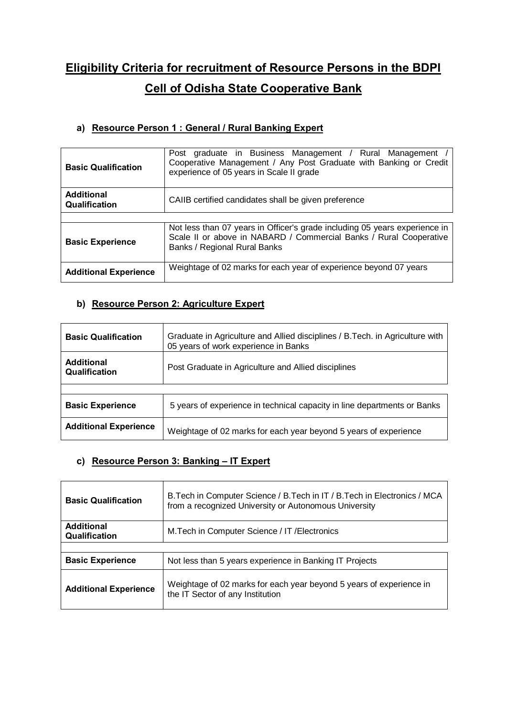# **Eligibility Criteria for recruitment of Resource Persons in the BDPI Cell of Odisha State Cooperative Bank**

#### **a) Resource Person 1 : General / Rural Banking Expert**

| <b>Basic Qualification</b>         | Post graduate in Business Management / Rural Management<br>Cooperative Management / Any Post Graduate with Banking or Credit<br>experience of 05 years in Scale II grade         |  |  |  |  |  |
|------------------------------------|----------------------------------------------------------------------------------------------------------------------------------------------------------------------------------|--|--|--|--|--|
| <b>Additional</b><br>Qualification | CAIIB certified candidates shall be given preference                                                                                                                             |  |  |  |  |  |
|                                    |                                                                                                                                                                                  |  |  |  |  |  |
| <b>Basic Experience</b>            | Not less than 07 years in Officer's grade including 05 years experience in<br>Scale II or above in NABARD / Commercial Banks / Rural Cooperative<br>Banks / Regional Rural Banks |  |  |  |  |  |
| <b>Additional Experience</b>       | Weightage of 02 marks for each year of experience beyond 07 years                                                                                                                |  |  |  |  |  |

### **b) Resource Person 2: Agriculture Expert**

| <b>Basic Qualification</b>         | Graduate in Agriculture and Allied disciplines / B. Tech. in Agriculture with<br>05 years of work experience in Banks |  |  |  |  |
|------------------------------------|-----------------------------------------------------------------------------------------------------------------------|--|--|--|--|
| <b>Additional</b><br>Qualification | Post Graduate in Agriculture and Allied disciplines                                                                   |  |  |  |  |
|                                    |                                                                                                                       |  |  |  |  |
| <b>Basic Experience</b>            | 5 years of experience in technical capacity in line departments or Banks                                              |  |  |  |  |
| <b>Additional Experience</b>       | Weightage of 02 marks for each year beyond 5 years of experience                                                      |  |  |  |  |

#### **c) Resource Person 3: Banking – IT Expert**

| <b>Basic Qualification</b>         | B. Tech in Computer Science / B. Tech in IT / B. Tech in Electronics / MCA<br>from a recognized University or Autonomous University |
|------------------------------------|-------------------------------------------------------------------------------------------------------------------------------------|
| <b>Additional</b><br>Qualification | M. Tech in Computer Science / IT / Electronics                                                                                      |
|                                    |                                                                                                                                     |
| <b>Basic Experience</b>            | Not less than 5 years experience in Banking IT Projects                                                                             |
| <b>Additional Experience</b>       | Weightage of 02 marks for each year beyond 5 years of experience in<br>the IT Sector of any Institution                             |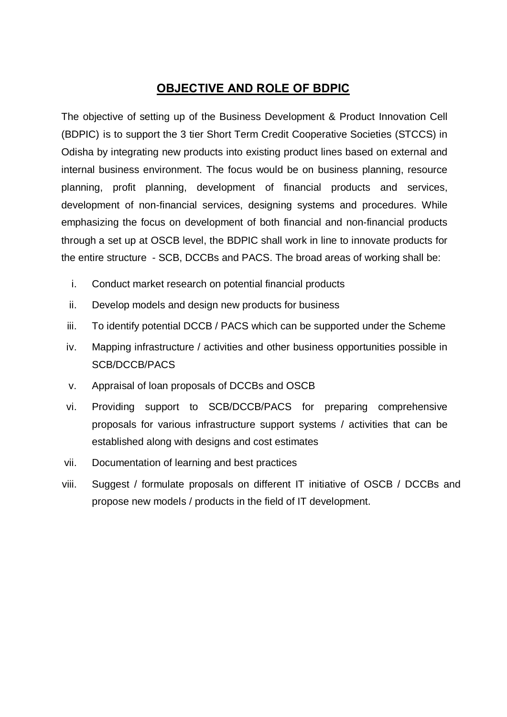### **OBJECTIVE AND ROLE OF BDPIC**

The objective of setting up of the Business Development & Product Innovation Cell (BDPIC) is to support the 3 tier Short Term Credit Cooperative Societies (STCCS) in Odisha by integrating new products into existing product lines based on external and internal business environment. The focus would be on business planning, resource planning, profit planning, development of financial products and services, development of non-financial services, designing systems and procedures. While emphasizing the focus on development of both financial and non-financial products through a set up at OSCB level, the BDPIC shall work in line to innovate products for the entire structure - SCB, DCCBs and PACS. The broad areas of working shall be:

- i. Conduct market research on potential financial products
- ii. Develop models and design new products for business
- iii. To identify potential DCCB / PACS which can be supported under the Scheme
- iv. Mapping infrastructure / activities and other business opportunities possible in SCB/DCCB/PACS
- v. Appraisal of loan proposals of DCCBs and OSCB
- vi. Providing support to SCB/DCCB/PACS for preparing comprehensive proposals for various infrastructure support systems / activities that can be established along with designs and cost estimates
- vii. Documentation of learning and best practices
- viii. Suggest / formulate proposals on different IT initiative of OSCB / DCCBs and propose new models / products in the field of IT development.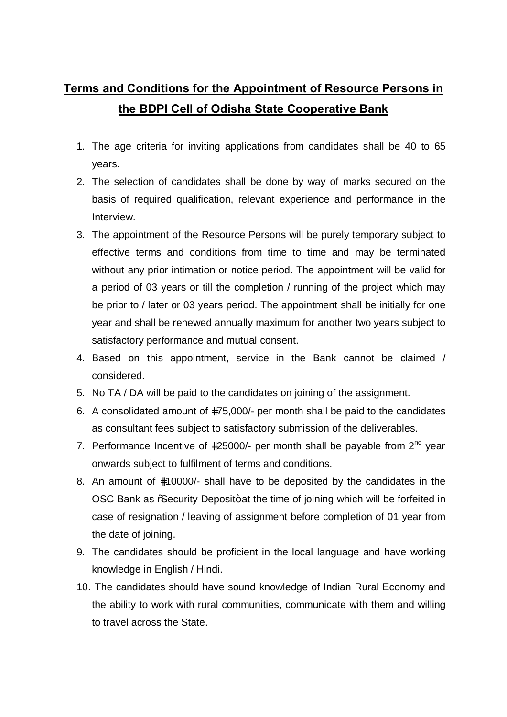# **Terms and Conditions for the Appointment of Resource Persons in the BDPI Cell of Odisha State Cooperative Bank**

- 1. The age criteria for inviting applications from candidates shall be 40 to 65 years.
- 2. The selection of candidates shall be done by way of marks secured on the basis of required qualification, relevant experience and performance in the Interview.
- 3. The appointment of the Resource Persons will be purely temporary subject to effective terms and conditions from time to time and may be terminated without any prior intimation or notice period. The appointment will be valid for a period of 03 years or till the completion / running of the project which may be prior to / later or 03 years period. The appointment shall be initially for one year and shall be renewed annually maximum for another two years subject to satisfactory performance and mutual consent.
- 4. Based on this appointment, service in the Bank cannot be claimed / considered.
- 5. No TA / DA will be paid to the candidates on joining of the assignment.
- 6. A consolidated amount of 75,000/- per month shall be paid to the candidates as consultant fees subject to satisfactory submission of the deliverables.
- 7. Performance Incentive of 25000/- per month shall be payable from  $2^{nd}$  year onwards subject to fulfilment of terms and conditions.
- 8. An amount of 10000/- shall have to be deposited by the candidates in the OSC Bank as % Security Deposit+at the time of joining which will be forfeited in case of resignation / leaving of assignment before completion of 01 year from the date of joining.
- 9. The candidates should be proficient in the local language and have working knowledge in English / Hindi.
- 10. The candidates should have sound knowledge of Indian Rural Economy and the ability to work with rural communities, communicate with them and willing to travel across the State.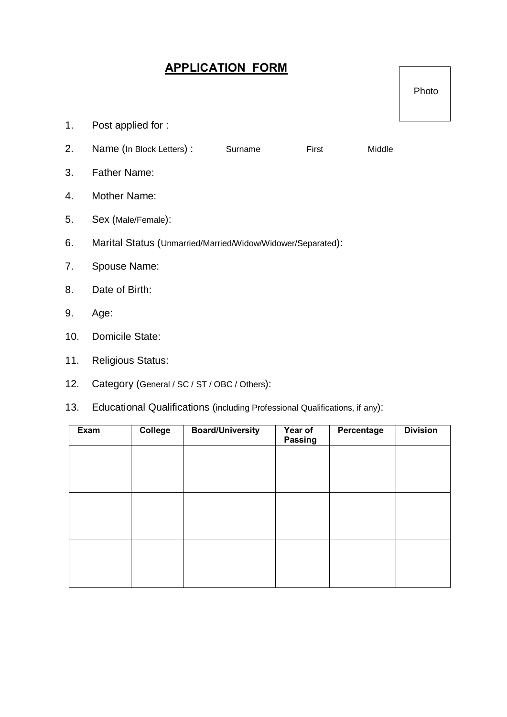## **APPLICATION FORM**

Photo

- 1. Post applied for :
- 2. Name (In Block Letters) : Surname First Middle
- 3. Father Name:
- 4. Mother Name:
- 5. Sex (Male/Female):
- 6. Marital Status (Unmarried/Married/Widow/Widower/Separated):
- 7. Spouse Name:
- 8. Date of Birth:
- 9. Age:
- 10. Domicile State:
- 11. Religious Status:
- 12. Category (General / SC / ST / OBC / Others):
- 13. Educational Qualifications (including Professional Qualifications, if any):

| Exam | <b>College</b> | <b>Board/University</b> | Year of<br>Passing | Percentage | <b>Division</b> |
|------|----------------|-------------------------|--------------------|------------|-----------------|
|      |                |                         |                    |            |                 |
|      |                |                         |                    |            |                 |
|      |                |                         |                    |            |                 |
|      |                |                         |                    |            |                 |
|      |                |                         |                    |            |                 |
|      |                |                         |                    |            |                 |